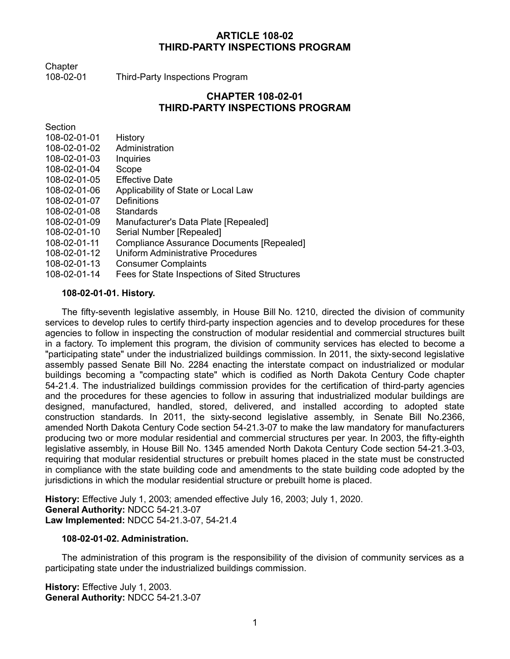# **ARTICLE 108-02 THIRD-PARTY INSPECTIONS PROGRAM**

**Chapter** 

108-02-01 Third-Party Inspections Program

# **CHAPTER 108-02-01 THIRD-PARTY INSPECTIONS PROGRAM**

Section

- 108-02-01-01 History
- 108-02-01-02 Administration
- 108-02-01-03 Inquiries
- 108-02-01-04 Scope
- 108-02-01-05 Effective Date
- 108-02-01-06 Applicability of State or Local Law
- 108-02-01-07 Definitions
- 108-02-01-08 Standards
- 108-02-01-09 Manufacturer's Data Plate [Repealed]
- 108-02-01-10 Serial Number [Repealed]
- 108-02-01-11 Compliance Assurance Documents [Repealed]
- 108-02-01-12 Uniform Administrative Procedures
- 108-02-01-13 Consumer Complaints
- 108-02-01-14 Fees for State Inspections of Sited Structures

# **108-02-01-01. History.**

The fifty-seventh legislative assembly, in House Bill No. 1210, directed the division of community services to develop rules to certify third-party inspection agencies and to develop procedures for these agencies to follow in inspecting the construction of modular residential and commercial structures built in a factory. To implement this program, the division of community services has elected to become a "participating state" under the industrialized buildings commission. In 2011, the sixty-second legislative assembly passed Senate Bill No. 2284 enacting the interstate compact on industrialized or modular buildings becoming a "compacting state" which is codified as North Dakota Century Code chapter 54-21.4. The industrialized buildings commission provides for the certification of third-party agencies and the procedures for these agencies to follow in assuring that industrialized modular buildings are designed, manufactured, handled, stored, delivered, and installed according to adopted state construction standards. In 2011, the sixty-second legislative assembly, in Senate Bill No.2366, amended North Dakota Century Code section 54-21.3-07 to make the law mandatory for manufacturers producing two or more modular residential and commercial structures per year. In 2003, the fifty-eighth legislative assembly, in House Bill No. 1345 amended North Dakota Century Code section 54-21.3-03, requiring that modular residential structures or prebuilt homes placed in the state must be constructed in compliance with the state building code and amendments to the state building code adopted by the jurisdictions in which the modular residential structure or prebuilt home is placed.

**History:** Effective July 1, 2003; amended effective July 16, 2003; July 1, 2020. **General Authority:** NDCC 54-21.3-07 **Law Implemented:** NDCC 54-21.3-07, 54-21.4

## **108-02-01-02. Administration.**

The administration of this program is the responsibility of the division of community services as a participating state under the industrialized buildings commission.

**History:** Effective July 1, 2003. **General Authority:** NDCC 54-21.3-07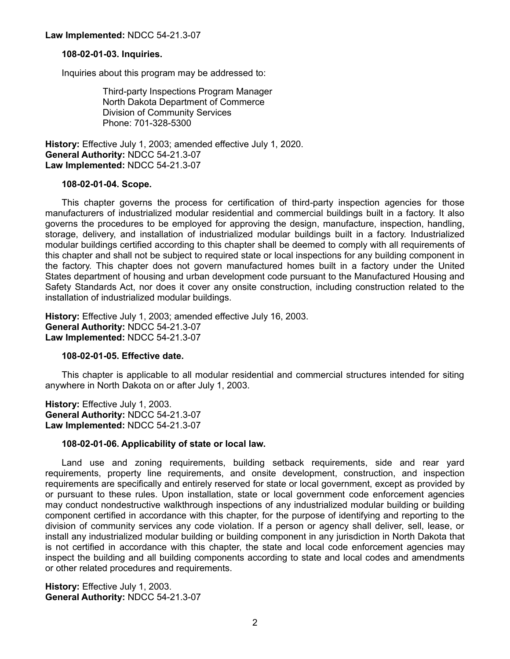#### **Law Implemented:** NDCC 54-21.3-07

#### **108-02-01-03. Inquiries.**

Inquiries about this program may be addressed to:

Third-party Inspections Program Manager North Dakota Department of Commerce Division of Community Services Phone: 701-328-5300

**History:** Effective July 1, 2003; amended effective July 1, 2020. **General Authority:** NDCC 54-21.3-07 **Law Implemented:** NDCC 54-21.3-07

#### **108-02-01-04. Scope.**

This chapter governs the process for certification of third-party inspection agencies for those manufacturers of industrialized modular residential and commercial buildings built in a factory. It also governs the procedures to be employed for approving the design, manufacture, inspection, handling, storage, delivery, and installation of industrialized modular buildings built in a factory. Industrialized modular buildings certified according to this chapter shall be deemed to comply with all requirements of this chapter and shall not be subject to required state or local inspections for any building component in the factory. This chapter does not govern manufactured homes built in a factory under the United States department of housing and urban development code pursuant to the Manufactured Housing and Safety Standards Act, nor does it cover any onsite construction, including construction related to the installation of industrialized modular buildings.

**History:** Effective July 1, 2003; amended effective July 16, 2003. **General Authority:** NDCC 54-21.3-07 **Law Implemented:** NDCC 54-21.3-07

#### **108-02-01-05. Effective date.**

This chapter is applicable to all modular residential and commercial structures intended for siting anywhere in North Dakota on or after July 1, 2003.

**History:** Effective July 1, 2003. **General Authority:** NDCC 54-21.3-07 **Law Implemented:** NDCC 54-21.3-07

#### **108-02-01-06. Applicability of state or local law.**

Land use and zoning requirements, building setback requirements, side and rear yard requirements, property line requirements, and onsite development, construction, and inspection requirements are specifically and entirely reserved for state or local government, except as provided by or pursuant to these rules. Upon installation, state or local government code enforcement agencies may conduct nondestructive walkthrough inspections of any industrialized modular building or building component certified in accordance with this chapter, for the purpose of identifying and reporting to the division of community services any code violation. If a person or agency shall deliver, sell, lease, or install any industrialized modular building or building component in any jurisdiction in North Dakota that is not certified in accordance with this chapter, the state and local code enforcement agencies may inspect the building and all building components according to state and local codes and amendments or other related procedures and requirements.

**History:** Effective July 1, 2003. **General Authority:** NDCC 54-21.3-07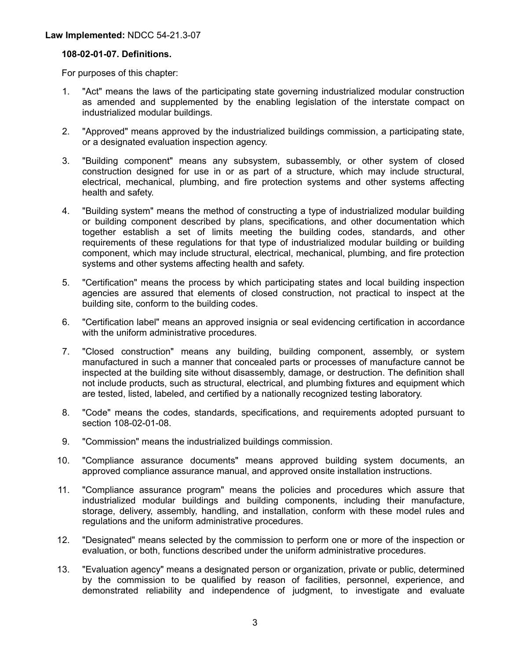### **108-02-01-07. Definitions.**

For purposes of this chapter:

- 1. "Act" means the laws of the participating state governing industrialized modular construction as amended and supplemented by the enabling legislation of the interstate compact on industrialized modular buildings.
- 2. "Approved" means approved by the industrialized buildings commission, a participating state, or a designated evaluation inspection agency.
- 3. "Building component" means any subsystem, subassembly, or other system of closed construction designed for use in or as part of a structure, which may include structural, electrical, mechanical, plumbing, and fire protection systems and other systems affecting health and safety.
- 4. "Building system" means the method of constructing a type of industrialized modular building or building component described by plans, specifications, and other documentation which together establish a set of limits meeting the building codes, standards, and other requirements of these regulations for that type of industrialized modular building or building component, which may include structural, electrical, mechanical, plumbing, and fire protection systems and other systems affecting health and safety.
- 5. "Certification" means the process by which participating states and local building inspection agencies are assured that elements of closed construction, not practical to inspect at the building site, conform to the building codes.
- 6. "Certification label" means an approved insignia or seal evidencing certification in accordance with the uniform administrative procedures.
- 7. "Closed construction" means any building, building component, assembly, or system manufactured in such a manner that concealed parts or processes of manufacture cannot be inspected at the building site without disassembly, damage, or destruction. The definition shall not include products, such as structural, electrical, and plumbing fixtures and equipment which are tested, listed, labeled, and certified by a nationally recognized testing laboratory.
- 8. "Code" means the codes, standards, specifications, and requirements adopted pursuant to section 108-02-01-08.
- 9. "Commission" means the industrialized buildings commission.
- 10. "Compliance assurance documents" means approved building system documents, an approved compliance assurance manual, and approved onsite installation instructions.
- 11. "Compliance assurance program" means the policies and procedures which assure that industrialized modular buildings and building components, including their manufacture, storage, delivery, assembly, handling, and installation, conform with these model rules and regulations and the uniform administrative procedures.
- 12. "Designated" means selected by the commission to perform one or more of the inspection or evaluation, or both, functions described under the uniform administrative procedures.
- 13. "Evaluation agency" means a designated person or organization, private or public, determined by the commission to be qualified by reason of facilities, personnel, experience, and demonstrated reliability and independence of judgment, to investigate and evaluate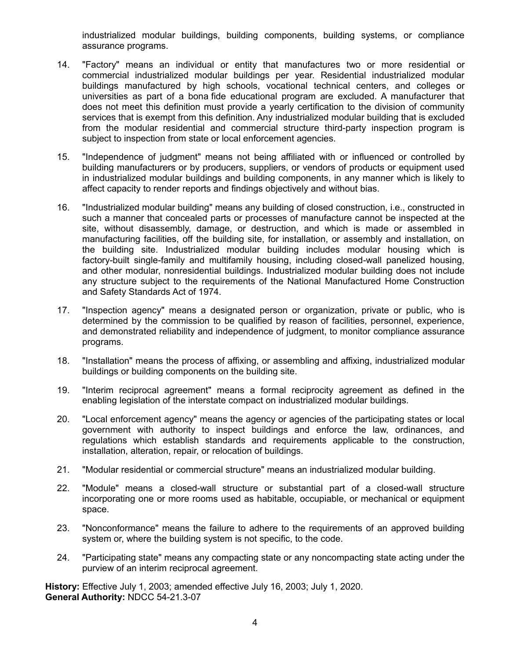industrialized modular buildings, building components, building systems, or compliance assurance programs.

- 14. "Factory" means an individual or entity that manufactures two or more residential or commercial industrialized modular buildings per year. Residential industrialized modular buildings manufactured by high schools, vocational technical centers, and colleges or universities as part of a bona fide educational program are excluded. A manufacturer that does not meet this definition must provide a yearly certification to the division of community services that is exempt from this definition. Any industrialized modular building that is excluded from the modular residential and commercial structure third-party inspection program is subject to inspection from state or local enforcement agencies.
- 15. "Independence of judgment" means not being affiliated with or influenced or controlled by building manufacturers or by producers, suppliers, or vendors of products or equipment used in industrialized modular buildings and building components, in any manner which is likely to affect capacity to render reports and findings objectively and without bias.
- 16. "Industrialized modular building" means any building of closed construction, i.e., constructed in such a manner that concealed parts or processes of manufacture cannot be inspected at the site, without disassembly, damage, or destruction, and which is made or assembled in manufacturing facilities, off the building site, for installation, or assembly and installation, on the building site. Industrialized modular building includes modular housing which is factory-built single-family and multifamily housing, including closed-wall panelized housing, and other modular, nonresidential buildings. Industrialized modular building does not include any structure subject to the requirements of the National Manufactured Home Construction and Safety Standards Act of 1974.
- 17. "Inspection agency" means a designated person or organization, private or public, who is determined by the commission to be qualified by reason of facilities, personnel, experience, and demonstrated reliability and independence of judgment, to monitor compliance assurance programs.
- 18. "Installation" means the process of affixing, or assembling and affixing, industrialized modular buildings or building components on the building site.
- 19. "Interim reciprocal agreement" means a formal reciprocity agreement as defined in the enabling legislation of the interstate compact on industrialized modular buildings.
- 20. "Local enforcement agency" means the agency or agencies of the participating states or local government with authority to inspect buildings and enforce the law, ordinances, and regulations which establish standards and requirements applicable to the construction, installation, alteration, repair, or relocation of buildings.
- 21. "Modular residential or commercial structure" means an industrialized modular building.
- 22. "Module" means a closed-wall structure or substantial part of a closed-wall structure incorporating one or more rooms used as habitable, occupiable, or mechanical or equipment space.
- 23. "Nonconformance" means the failure to adhere to the requirements of an approved building system or, where the building system is not specific, to the code.
- 24. "Participating state" means any compacting state or any noncompacting state acting under the purview of an interim reciprocal agreement.

**History:** Effective July 1, 2003; amended effective July 16, 2003; July 1, 2020. **General Authority:** NDCC 54-21.3-07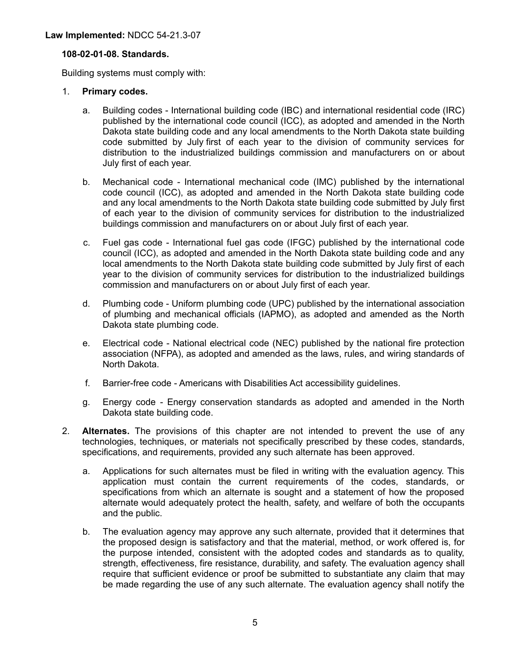## **108-02-01-08. Standards.**

Building systems must comply with:

- 1. **Primary codes.**
	- a. Building codes International building code (IBC) and international residential code (IRC) published by the international code council (ICC), as adopted and amended in the North Dakota state building code and any local amendments to the North Dakota state building code submitted by July first of each year to the division of community services for distribution to the industrialized buildings commission and manufacturers on or about July first of each year.
	- b. Mechanical code International mechanical code (IMC) published by the international code council (ICC), as adopted and amended in the North Dakota state building code and any local amendments to the North Dakota state building code submitted by July first of each year to the division of community services for distribution to the industrialized buildings commission and manufacturers on or about July first of each year.
	- c. Fuel gas code International fuel gas code (IFGC) published by the international code council (ICC), as adopted and amended in the North Dakota state building code and any local amendments to the North Dakota state building code submitted by July first of each year to the division of community services for distribution to the industrialized buildings commission and manufacturers on or about July first of each year.
	- d. Plumbing code Uniform plumbing code (UPC) published by the international association of plumbing and mechanical officials (IAPMO), as adopted and amended as the North Dakota state plumbing code.
	- e. Electrical code National electrical code (NEC) published by the national fire protection association (NFPA), as adopted and amended as the laws, rules, and wiring standards of North Dakota.
	- f. Barrier-free code Americans with Disabilities Act accessibility guidelines.
	- g. Energy code Energy conservation standards as adopted and amended in the North Dakota state building code.
- 2. **Alternates.** The provisions of this chapter are not intended to prevent the use of any technologies, techniques, or materials not specifically prescribed by these codes, standards, specifications, and requirements, provided any such alternate has been approved.
	- a. Applications for such alternates must be filed in writing with the evaluation agency. This application must contain the current requirements of the codes, standards, or specifications from which an alternate is sought and a statement of how the proposed alternate would adequately protect the health, safety, and welfare of both the occupants and the public.
	- b. The evaluation agency may approve any such alternate, provided that it determines that the proposed design is satisfactory and that the material, method, or work offered is, for the purpose intended, consistent with the adopted codes and standards as to quality, strength, effectiveness, fire resistance, durability, and safety. The evaluation agency shall require that sufficient evidence or proof be submitted to substantiate any claim that may be made regarding the use of any such alternate. The evaluation agency shall notify the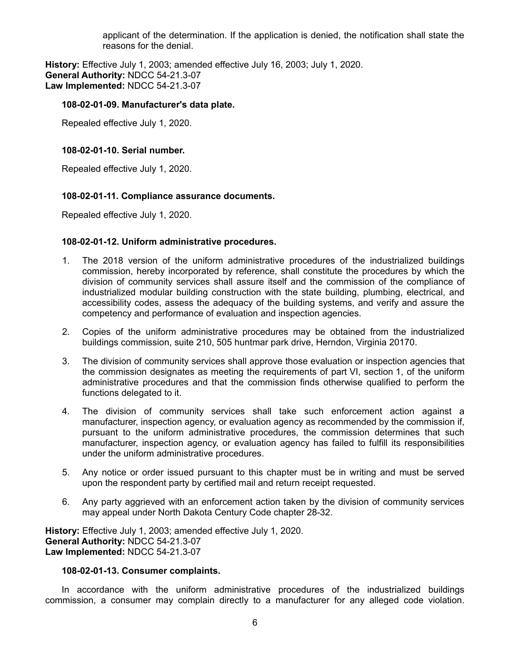applicant of the determination. If the application is denied, the notification shall state the reasons for the denial.

**History:** Effective July 1, 2003; amended effective July 16, 2003; July 1, 2020. **General Authority:** NDCC 54-21.3-07 **Law Implemented:** NDCC 54-21.3-07

### **108-02-01-09. Manufacturer's data plate.**

Repealed effective July 1, 2020.

### **108-02-01-10. Serial number.**

Repealed effective July 1, 2020.

### **108-02-01-11. Compliance assurance documents.**

Repealed effective July 1, 2020.

### **108-02-01-12. Uniform administrative procedures.**

- 1. The 2018 version of the uniform administrative procedures of the industrialized buildings commission, hereby incorporated by reference, shall constitute the procedures by which the division of community services shall assure itself and the commission of the compliance of industrialized modular building construction with the state building, plumbing, electrical, and accessibility codes, assess the adequacy of the building systems, and verify and assure the competency and performance of evaluation and inspection agencies.
- 2. Copies of the uniform administrative procedures may be obtained from the industrialized buildings commission, suite 210, 505 huntmar park drive, Herndon, Virginia 20170.
- 3. The division of community services shall approve those evaluation or inspection agencies that the commission designates as meeting the requirements of part VI, section 1, of the uniform administrative procedures and that the commission finds otherwise qualified to perform the functions delegated to it.
- 4. The division of community services shall take such enforcement action against a manufacturer, inspection agency, or evaluation agency as recommended by the commission if, pursuant to the uniform administrative procedures, the commission determines that such manufacturer, inspection agency, or evaluation agency has failed to fulfill its responsibilities under the uniform administrative procedures.
- 5. Any notice or order issued pursuant to this chapter must be in writing and must be served upon the respondent party by certified mail and return receipt requested.
- 6. Any party aggrieved with an enforcement action taken by the division of community services may appeal under North Dakota Century Code chapter 28-32.

**History:** Effective July 1, 2003; amended effective July 1, 2020. **General Authority:** NDCC 54-21.3-07 **Law Implemented:** NDCC 54-21.3-07

#### **108-02-01-13. Consumer complaints.**

In accordance with the uniform administrative procedures of the industrialized buildings commission, a consumer may complain directly to a manufacturer for any alleged code violation.